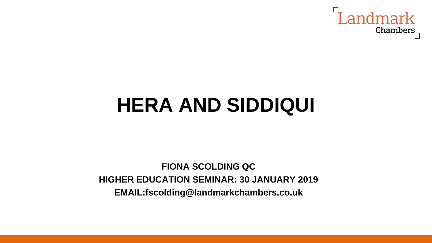

# **HERA AND SIDDIQUI**

**FIONA SCOLDING QC HIGHER EDUCATION SEMINAR: 30 JANUARY 2019 EMAIL:fscolding@landmarkchambers.co.uk**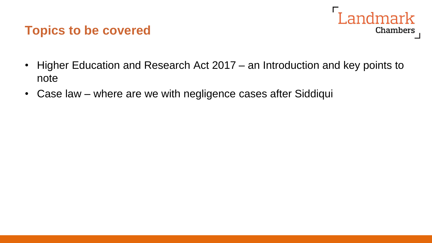#### **Topics to be covered**



- Higher Education and Research Act 2017 an Introduction and key points to note
- Case law where are we with negligence cases after Siddiqui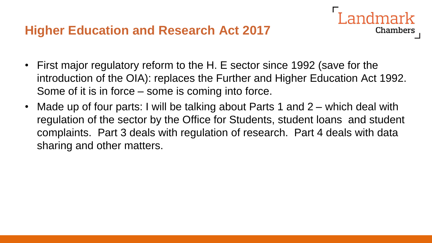## **Higher Education and Research Act 2017**

• First major regulatory reform to the H. E sector since 1992 (save for the introduction of the OIA): replaces the Further and Higher Education Act 1992. Some of it is in force – some is coming into force.

**Chambers** 

• Made up of four parts: I will be talking about Parts 1 and 2 – which deal with regulation of the sector by the Office for Students, student loans and student complaints. Part 3 deals with regulation of research. Part 4 deals with data sharing and other matters.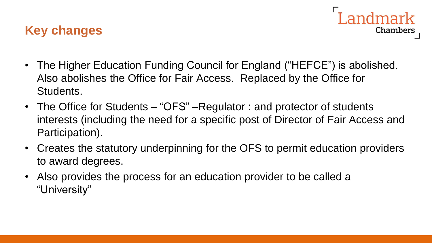#### **Key changes**

- andmark Chambers
- The Higher Education Funding Council for England ("HEFCE") is abolished. Also abolishes the Office for Fair Access. Replaced by the Office for Students.
- The Office for Students "OFS" –Regulator: and protector of students interests (including the need for a specific post of Director of Fair Access and Participation).
- Creates the statutory underpinning for the OFS to permit education providers to award degrees.
- Also provides the process for an education provider to be called a "University"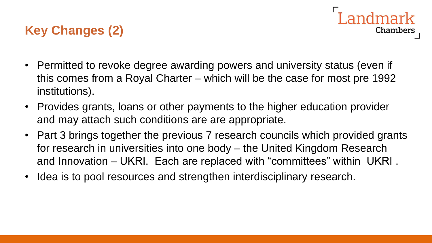# **Key Changes (2)**

• Permitted to revoke degree awarding powers and university status (even if this comes from a Royal Charter – which will be the case for most pre 1992 institutions).

- Provides grants, loans or other payments to the higher education provider and may attach such conditions are are appropriate.
- Part 3 brings together the previous 7 research councils which provided grants for research in universities into one body – the United Kingdom Research and Innovation – UKRI. Each are replaced with "committees" within UKRI .
- Idea is to pool resources and strengthen interdisciplinary research.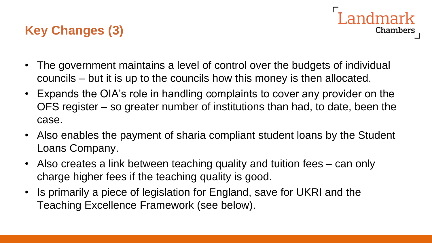# **Key Changes (3)**

• The government maintains a level of control over the budgets of individual councils – but it is up to the councils how this money is then allocated.

Landmark

- Expands the OIA's role in handling complaints to cover any provider on the OFS register – so greater number of institutions than had, to date, been the case.
- Also enables the payment of sharia compliant student loans by the Student Loans Company.
- Also creates a link between teaching quality and tuition fees can only charge higher fees if the teaching quality is good.
- Is primarily a piece of legislation for England, save for UKRI and the Teaching Excellence Framework (see below).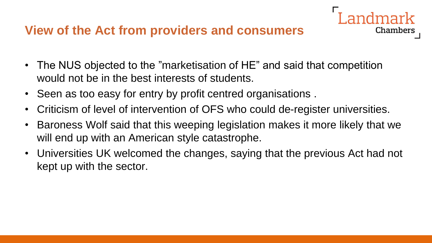#### **View of the Act from providers and consumers**

• The NUS objected to the "marketisation of HE" and said that competition would not be in the best interests of students.

- Seen as too easy for entry by profit centred organisations .
- Criticism of level of intervention of OFS who could de-register universities.
- Baroness Wolf said that this weeping legislation makes it more likely that we will end up with an American style catastrophe.
- Universities UK welcomed the changes, saying that the previous Act had not kept up with the sector.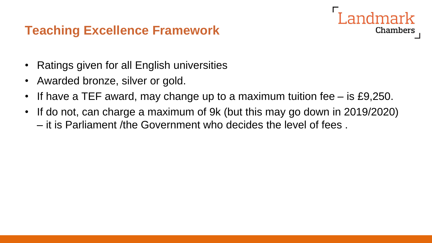## **Teaching Excellence Framework**



- Awarded bronze, silver or gold.
- If have a TEF award, may change up to a maximum tuition fee is £9,250.

Chambers

• If do not, can charge a maximum of 9k (but this may go down in 2019/2020) – it is Parliament /the Government who decides the level of fees .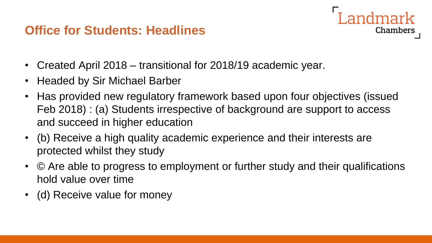## **Office for Students: Headlines**



- Created April 2018 transitional for 2018/19 academic year.
- Headed by Sir Michael Barber
- Has provided new regulatory framework based upon four objectives (issued Feb 2018) : (a) Students irrespective of background are support to access and succeed in higher education
- (b) Receive a high quality academic experience and their interests are protected whilst they study
- © Are able to progress to employment or further study and their qualifications hold value over time
- (d) Receive value for money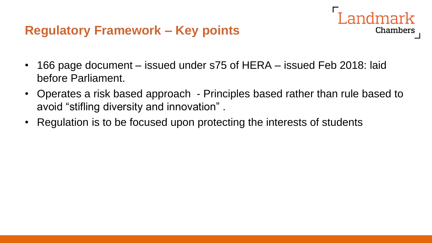## **Regulatory Framework – Key points**

- 166 page document issued under s75 of HERA issued Feb 2018: laid before Parliament.
- Operates a risk based approach Principles based rather than rule based to avoid "stifling diversity and innovation" .

Chambers

• Regulation is to be focused upon protecting the interests of students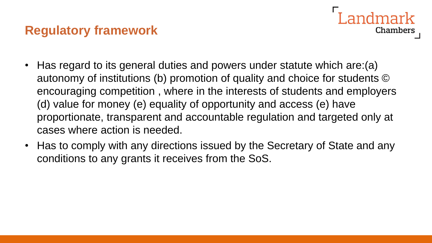# **Regulatory framework**

- Chambers
- Has regard to its general duties and powers under statute which are: (a) autonomy of institutions (b) promotion of quality and choice for students © encouraging competition , where in the interests of students and employers (d) value for money (e) equality of opportunity and access (e) have proportionate, transparent and accountable regulation and targeted only at cases where action is needed.
- Has to comply with any directions issued by the Secretary of State and any conditions to any grants it receives from the SoS.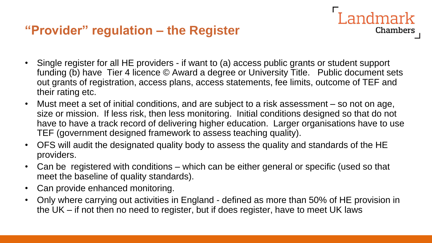#### **"Provider" regulation – the Register**

• Single register for all HE providers - if want to (a) access public grants or student support funding (b) have Tier 4 licence © Award a degree or University Title. Public document sets out grants of registration, access plans, access statements, fee limits, outcome of TEF and their rating etc.

Landmark

- Must meet a set of initial conditions, and are subject to a risk assessment so not on age, size or mission. If less risk, then less monitoring. Initial conditions designed so that do not have to have a track record of delivering higher education. Larger organisations have to use TEF (government designed framework to assess teaching quality).
- OFS will audit the designated quality body to assess the quality and standards of the HE providers.
- Can be registered with conditions which can be either general or specific (used so that meet the baseline of quality standards).
- Can provide enhanced monitoring.
- Only where carrying out activities in England defined as more than 50% of HE provision in the UK – if not then no need to register, but if does register, have to meet UK laws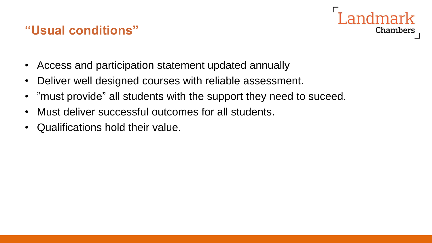## **"Usual conditions"**



- Access and participation statement updated annually
- Deliver well designed courses with reliable assessment.
- "must provide" all students with the support they need to suceed.
- Must deliver successful outcomes for all students.
- Qualifications hold their value.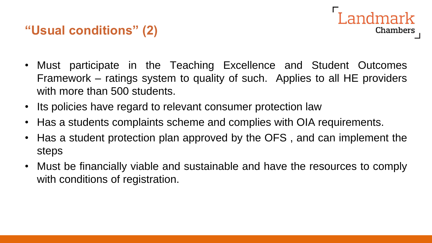# **"Usual conditions" (2)**

- andmark Chambers
- Must participate in the Teaching Excellence and Student Outcomes Framework – ratings system to quality of such. Applies to all HE providers with more than 500 students.
- Its policies have regard to relevant consumer protection law
- Has a students complaints scheme and complies with OIA requirements.
- Has a student protection plan approved by the OFS , and can implement the steps
- Must be financially viable and sustainable and have the resources to comply with conditions of registration.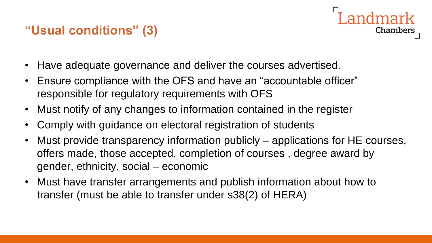# **"Usual conditions" (3)**

- Have adequate governance and deliver the courses advertised.
- Ensure compliance with the OFS and have an "accountable officer" responsible for regulatory requirements with OFS
- Must notify of any changes to information contained in the register
- Comply with guidance on electoral registration of students
- Must provide transparency information publicly applications for HE courses, offers made, those accepted, completion of courses , degree award by gender, ethnicity, social – economic

Chambers

• Must have transfer arrangements and publish information about how to transfer (must be able to transfer under s38(2) of HERA)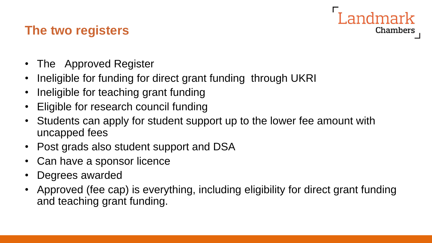# ndmark Chambers

# **The two registers**

- The Approved Register
- Ineligible for funding for direct grant funding through UKRI
- Ineligible for teaching grant funding
- Eligible for research council funding
- Students can apply for student support up to the lower fee amount with uncapped fees
- Post grads also student support and DSA
- Can have a sponsor licence
- Degrees awarded
- Approved (fee cap) is everything, including eligibility for direct grant funding and teaching grant funding.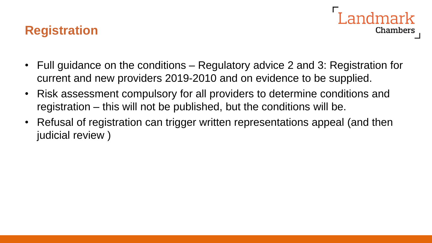## **Registration**



- Full guidance on the conditions Regulatory advice 2 and 3: Registration for current and new providers 2019-2010 and on evidence to be supplied.
- Risk assessment compulsory for all providers to determine conditions and registration – this will not be published, but the conditions will be.
- Refusal of registration can trigger written representations appeal (and then judicial review )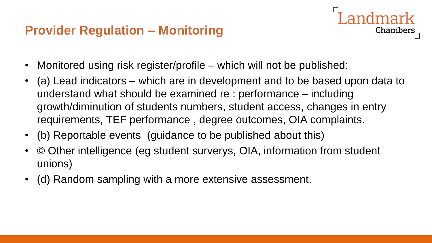# **Provider Regulation – Monitoring**

- andmark Chambers
- Monitored using risk register/profile which will not be published:
- (a) Lead indicators which are in development and to be based upon data to understand what should be examined re : performance – including growth/diminution of students numbers, student access, changes in entry requirements, TEF performance , degree outcomes, OIA complaints.
- (b) Reportable events (guidance to be published about this)
- © Other intelligence (eg student surverys, OIA, information from student unions)
- (d) Random sampling with a more extensive assessment.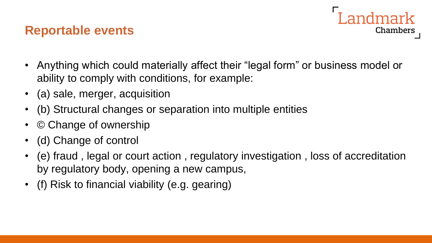#### **Reportable events**

- andmark Chambers
- Anything which could materially affect their "legal form" or business model or ability to comply with conditions, for example:
- (a) sale, merger, acquisition
- (b) Structural changes or separation into multiple entities
- © Change of ownership
- (d) Change of control
- (e) fraud , legal or court action , regulatory investigation , loss of accreditation by regulatory body, opening a new campus,
- (f) Risk to financial viability (e.g. gearing)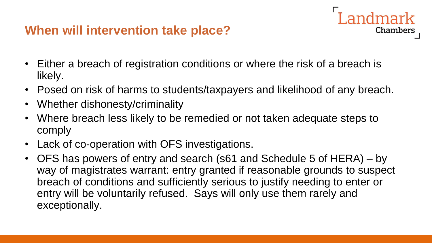# **When will intervention take place?**

- Either a breach of registration conditions or where the risk of a breach is likely.
- Posed on risk of harms to students/taxpayers and likelihood of any breach.

ndmark

- Whether dishonesty/criminality
- Where breach less likely to be remedied or not taken adequate steps to comply
- Lack of co-operation with OFS investigations.
- OFS has powers of entry and search (s61 and Schedule 5 of HERA) by way of magistrates warrant: entry granted if reasonable grounds to suspect breach of conditions and sufficiently serious to justify needing to enter or entry will be voluntarily refused. Says will only use them rarely and exceptionally.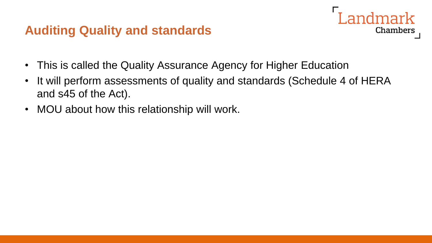# **Auditing Quality and standards**



- This is called the Quality Assurance Agency for Higher Education
- It will perform assessments of quality and standards (Schedule 4 of HERA and s45 of the Act).
- MOU about how this relationship will work.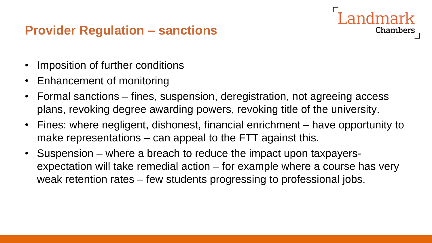#### **Provider Regulation – sanctions**

- Imposition of further conditions
- Enhancement of monitoring
- Formal sanctions fines, suspension, deregistration, not agreeing access plans, revoking degree awarding powers, revoking title of the university.
- Fines: where negligent, dishonest, financial enrichment have opportunity to make representations – can appeal to the FTT against this.

Chambers

• Suspension – where a breach to reduce the impact upon taxpayersexpectation will take remedial action – for example where a course has very weak retention rates – few students progressing to professional jobs.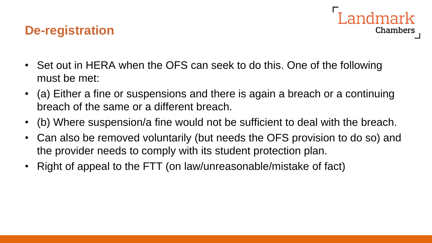#### **De-registration**



- Set out in HERA when the OFS can seek to do this. One of the following must be met:
- (a) Either a fine or suspensions and there is again a breach or a continuing breach of the same or a different breach.
- (b) Where suspension/a fine would not be sufficient to deal with the breach.
- Can also be removed voluntarily (but needs the OFS provision to do so) and the provider needs to comply with its student protection plan.
- Right of appeal to the FTT (on law/unreasonable/mistake of fact)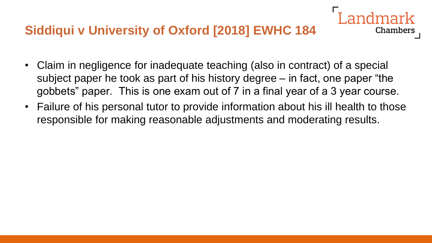# **Siddiqui v University of Oxford [2018] EWHC 184**

• Claim in negligence for inadequate teaching (also in contract) of a special subject paper he took as part of his history degree – in fact, one paper "the gobbets" paper. This is one exam out of 7 in a final year of a 3 year course.

**Chambers** 

• Failure of his personal tutor to provide information about his ill health to those responsible for making reasonable adjustments and moderating results.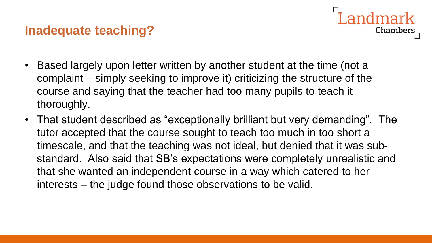#### **Inadequate teaching?**

- andmark **Chambers**
- Based largely upon letter written by another student at the time (not a complaint – simply seeking to improve it) criticizing the structure of the course and saying that the teacher had too many pupils to teach it thoroughly.
- That student described as "exceptionally brilliant but very demanding". The tutor accepted that the course sought to teach too much in too short a timescale, and that the teaching was not ideal, but denied that it was substandard. Also said that SB's expectations were completely unrealistic and that she wanted an independent course in a way which catered to her interests – the judge found those observations to be valid.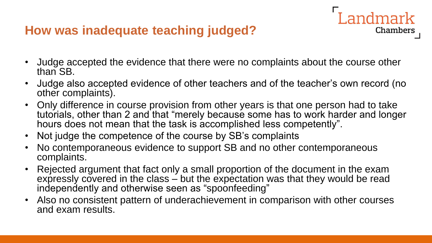# **How was inadequate teaching judged?**

• Judge accepted the evidence that there were no complaints about the course other than SB.

ndmark

- Judge also accepted evidence of other teachers and of the teacher's own record (no other complaints).
- Only difference in course provision from other years is that one person had to take tutorials, other than 2 and that "merely because some has to work harder and longer hours does not mean that the task is accomplished less competently".
- Not judge the competence of the course by SB's complaints
- No contemporaneous evidence to support SB and no other contemporaneous complaints.
- Rejected argument that fact only a small proportion of the document in the exam expressly covered in the class – but the expectation was that they would be read independently and otherwise seen as "spoonfeeding"
- Also no consistent pattern of underachievement in comparison with other courses and exam results.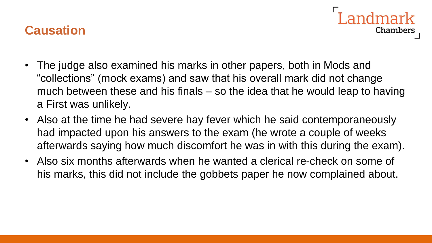



- The judge also examined his marks in other papers, both in Mods and "collections" (mock exams) and saw that his overall mark did not change much between these and his finals – so the idea that he would leap to having a First was unlikely.
- Also at the time he had severe hay fever which he said contemporaneously had impacted upon his answers to the exam (he wrote a couple of weeks afterwards saying how much discomfort he was in with this during the exam).
- Also six months afterwards when he wanted a clerical re-check on some of his marks, this did not include the gobbets paper he now complained about.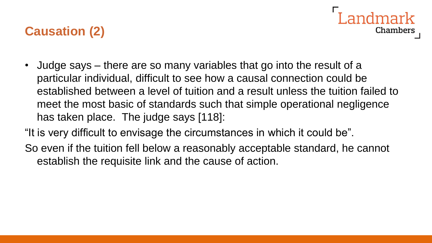# **Causation (2)**

- **Chambers** • Judge says – there are so many variables that go into the result of a particular individual, difficult to see how a causal connection could be established between a level of tuition and a result unless the tuition failed to
- meet the most basic of standards such that simple operational negligence has taken place. The judge says [118]:
- "It is very difficult to envisage the circumstances in which it could be".
- So even if the tuition fell below a reasonably acceptable standard, he cannot establish the requisite link and the cause of action.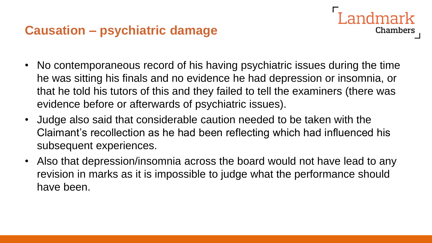#### **Causation – psychiatric damage**

• No contemporaneous record of his having psychiatric issues during the time he was sitting his finals and no evidence he had depression or insomnia, or that he told his tutors of this and they failed to tell the examiners (there was evidence before or afterwards of psychiatric issues).

- Judge also said that considerable caution needed to be taken with the Claimant's recollection as he had been reflecting which had influenced his subsequent experiences.
- Also that depression/insomnia across the board would not have lead to any revision in marks as it is impossible to judge what the performance should have been.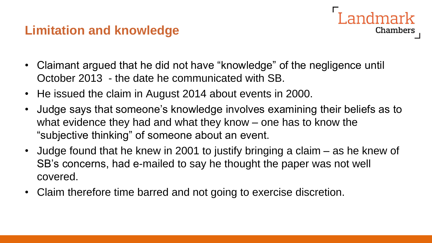## **Limitation and knowledge**



- He issued the claim in August 2014 about events in 2000.
- Judge says that someone's knowledge involves examining their beliefs as to what evidence they had and what they know – one has to know the "subjective thinking" of someone about an event.
- Judge found that he knew in 2001 to justify bringing a claim as he knew of SB's concerns, had e-mailed to say he thought the paper was not well covered.
- Claim therefore time barred and not going to exercise discretion.